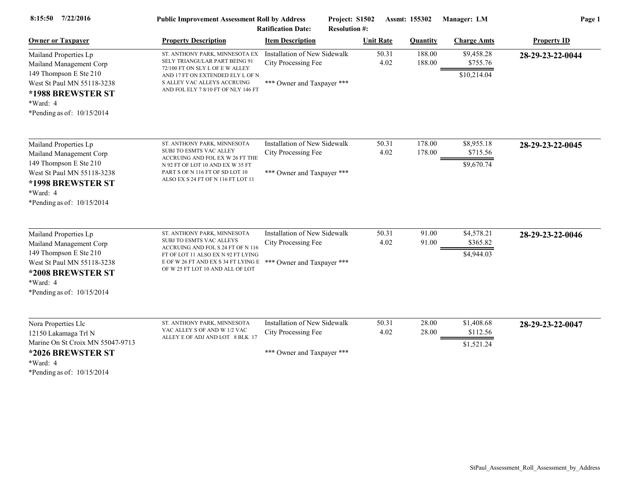| 7/22/2016<br>8:15:50                                                                                                | <b>Public Improvement Assessment Roll by Address</b><br><b>Ratification Date:</b>                      |                                                     | Project: S1502<br><b>Resolution #:</b> |                  | Assmt: 155302    | Manager: LM            | Page 1             |
|---------------------------------------------------------------------------------------------------------------------|--------------------------------------------------------------------------------------------------------|-----------------------------------------------------|----------------------------------------|------------------|------------------|------------------------|--------------------|
| <b>Owner or Taxpayer</b>                                                                                            | <b>Property Description</b>                                                                            | <b>Item Description</b>                             |                                        | <b>Unit Rate</b> | <b>Quantity</b>  | <b>Charge Amts</b>     | <b>Property ID</b> |
| Mailand Properties Lp<br>Mailand Management Corp                                                                    | ST. ANTHONY PARK, MINNESOTA EX<br>SELY TRIANGULAR PART BEING 91<br>72/100 FT ON SLY L OF E W ALLEY     | Installation of New Sidewalk<br>City Processing Fee |                                        | 50.31<br>4.02    | 188.00<br>188.00 | \$9,458.28<br>\$755.76 | 28-29-23-22-0044   |
| 149 Thompson E Ste 210<br>West St Paul MN 55118-3238<br>*1988 BREWSTER ST<br>*Ward: 4<br>*Pending as of: 10/15/2014 | AND 17 FT ON EXTENDED ELY L OF N<br>S ALLEY VAC ALLEYS ACCRUING<br>AND FOL ELY 7 8/10 FT OF NLY 146 FT | *** Owner and Taxpayer ***                          |                                        |                  |                  | \$10,214.04            |                    |
| Mailand Properties Lp                                                                                               | ST. ANTHONY PARK, MINNESOTA                                                                            | Installation of New Sidewalk                        |                                        | 50.31            | 178.00           | \$8,955.18             | 28-29-23-22-0045   |
| Mailand Management Corp<br>149 Thompson E Ste 210                                                                   | SUBJ TO ESMTS VAC ALLEY<br>ACCRUING AND FOL EX W 26 FT THE<br>N 92 FT OF LOT 10 AND EX W 35 FT         | City Processing Fee                                 |                                        | 4.02             | 178.00           | \$715.56<br>\$9,670.74 |                    |
| West St Paul MN 55118-3238<br>*1998 BREWSTER ST<br>*Ward: 4<br>*Pending as of: 10/15/2014                           | PART S OF N 116 FT OF SD LOT 10<br>ALSO EX S 24 FT OF N 116 FT LOT 11                                  | *** Owner and Taxpayer ***                          |                                        |                  |                  |                        |                    |
| Mailand Properties Lp                                                                                               | ST. ANTHONY PARK, MINNESOTA<br>SUBJ TO ESMTS VAC ALLEYS                                                | Installation of New Sidewalk                        |                                        | 50.31            | 91.00            | \$4,578.21             | 28-29-23-22-0046   |
| Mailand Management Corp<br>149 Thompson E Ste 210                                                                   | ACCRUING AND FOL S 24 FT OF N 116<br>FT OF LOT 11 ALSO EX N 92 FT LYING                                | City Processing Fee                                 |                                        | 4.02             | 91.00            | \$365.82<br>\$4,944.03 |                    |
| West St Paul MN 55118-3238<br>*2008 BREWSTER ST<br>*Ward: 4<br>*Pending as of: 10/15/2014                           | E OF W 26 FT AND EX S 34 FT LYING E *** Owner and Taxpayer ***<br>OF W 25 FT LOT 10 AND ALL OF LOT     |                                                     |                                        |                  |                  |                        |                    |
| Nora Properties Llc                                                                                                 | ST. ANTHONY PARK, MINNESOTA                                                                            | Installation of New Sidewalk                        |                                        | 50.31            | 28.00            | \$1,408.68             | 28-29-23-22-0047   |
| 12150 Lakamaga Trl N                                                                                                | VAC ALLEY S OF AND W 1/2 VAC<br>ALLEY E OF ADJ AND LOT 8 BLK 17                                        | City Processing Fee                                 |                                        | 4.02             | 28.00            | \$112.56               |                    |
| Marine On St Croix MN 55047-9713<br>*2026 BREWSTER ST<br>*Ward: 4<br>*Pending as of: $10/15/2014$                   |                                                                                                        | *** Owner and Taxpayer ***                          |                                        |                  |                  | \$1,521.24             |                    |